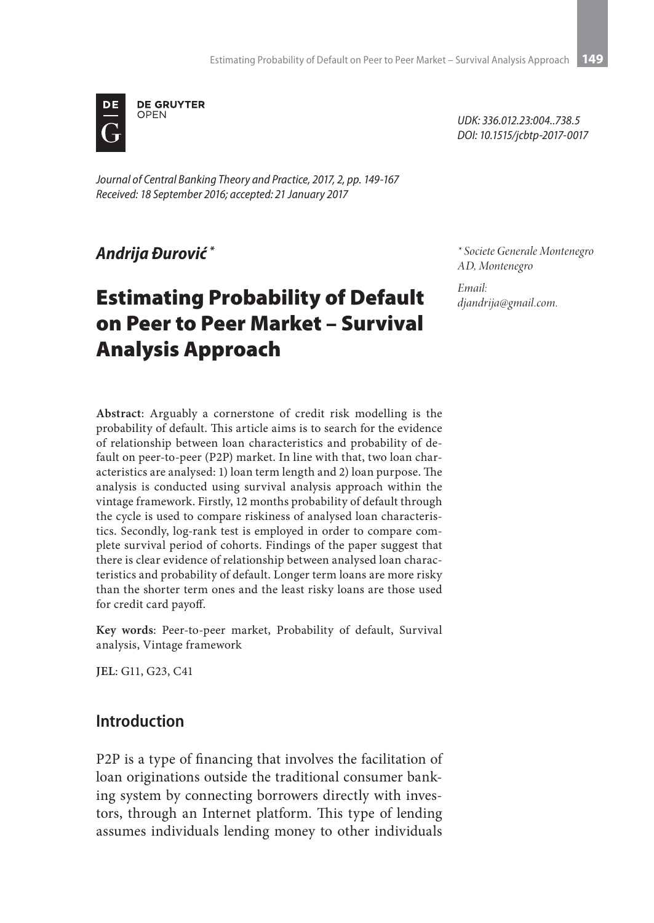

*Journal of Central Banking Theory and Practice, 2017, 2, pp. 149-167 Received: 18 September 2016; accepted: 21 January 2017*

*Andrija Đurović \**

# Estimating Probability of Default on Peer to Peer Market – Survival Analysis Approach

*UDK: 336.012.23:004..738.5 DOI: 10.1515/jcbtp-2017-0017*

*\* Societe Generale Montenegro AD, Montenegro*

*Email: djandrija@gmail.com.*

**Abstract**: Arguably a cornerstone of credit risk modelling is the probability of default. This article aims is to search for the evidence of relationship between loan characteristics and probability of default on peer-to-peer (P2P) market. In line with that, two loan characteristics are analysed: 1) loan term length and 2) loan purpose. The analysis is conducted using survival analysis approach within the vintage framework. Firstly, 12 months probability of default through the cycle is used to compare riskiness of analysed loan characteristics. Secondly, log-rank test is employed in order to compare complete survival period of cohorts. Findings of the paper suggest that there is clear evidence of relationship between analysed loan characteristics and probability of default. Longer term loans are more risky than the shorter term ones and the least risky loans are those used for credit card payoff.

**Key words**: Peer-to-peer market, Probability of default, Survival analysis, Vintage framework

**JEL**: G11, G23, C41

### **Introduction**

P2P is a type of financing that involves the facilitation of loan originations outside the traditional consumer banking system by connecting borrowers directly with investors, through an Internet platform. This type of lending assumes individuals lending money to other individuals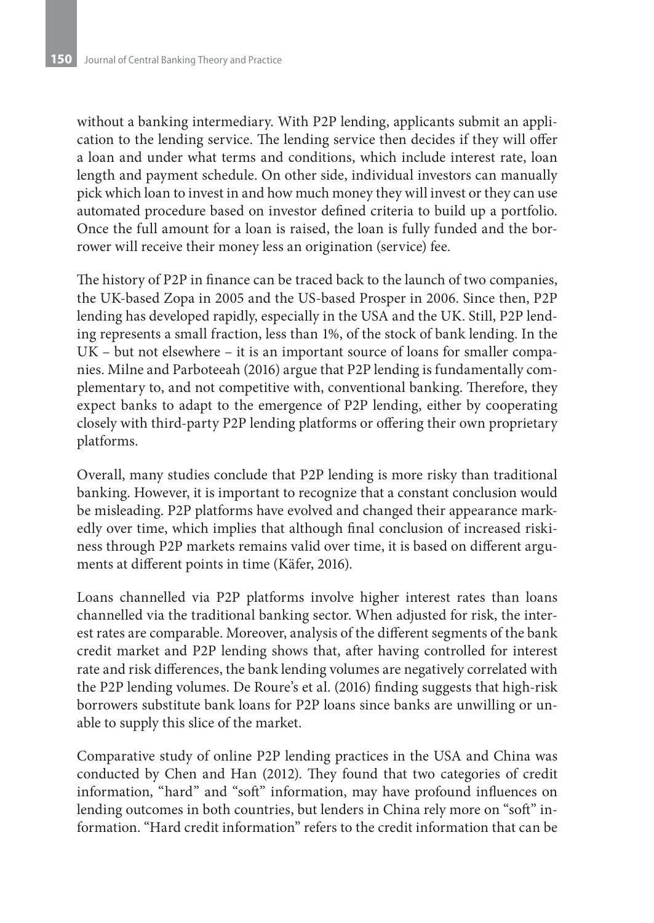without a banking intermediary. With P2P lending, applicants submit an application to the lending service. The lending service then decides if they will offer a loan and under what terms and conditions, which include interest rate, loan length and payment schedule. On other side, individual investors can manually pick which loan to invest in and how much money they will invest or they can use automated procedure based on investor defined criteria to build up a portfolio. Once the full amount for a loan is raised, the loan is fully funded and the borrower will receive their money less an origination (service) fee.

The history of P2P in finance can be traced back to the launch of two companies, the UK-based Zopa in 2005 and the US-based Prosper in 2006. Since then, P2P lending has developed rapidly, especially in the USA and the UK. Still, P2P lending represents a small fraction, less than 1%, of the stock of bank lending. In the UK – but not elsewhere – it is an important source of loans for smaller companies. Milne and Parboteeah (2016) argue that P2P lending is fundamentally complementary to, and not competitive with, conventional banking. Therefore, they expect banks to adapt to the emergence of P2P lending, either by cooperating closely with third-party P2P lending platforms or offering their own proprietary platforms.

Overall, many studies conclude that P2P lending is more risky than traditional banking. However, it is important to recognize that a constant conclusion would be misleading. P2P platforms have evolved and changed their appearance markedly over time, which implies that although final conclusion of increased riskiness through P2P markets remains valid over time, it is based on different arguments at different points in time (Käfer, 2016).

Loans channelled via P2P platforms involve higher interest rates than loans channelled via the traditional banking sector. When adjusted for risk, the interest rates are comparable. Moreover, analysis of the different segments of the bank credit market and P2P lending shows that, after having controlled for interest rate and risk differences, the bank lending volumes are negatively correlated with the P2P lending volumes. De Roure's et al. (2016) finding suggests that high-risk borrowers substitute bank loans for P2P loans since banks are unwilling or unable to supply this slice of the market.

Comparative study of online P2P lending practices in the USA and China was conducted by Chen and Han (2012). They found that two categories of credit information, "hard" and "soft" information, may have profound influences on lending outcomes in both countries, but lenders in China rely more on "soft" information. "Hard credit information" refers to the credit information that can be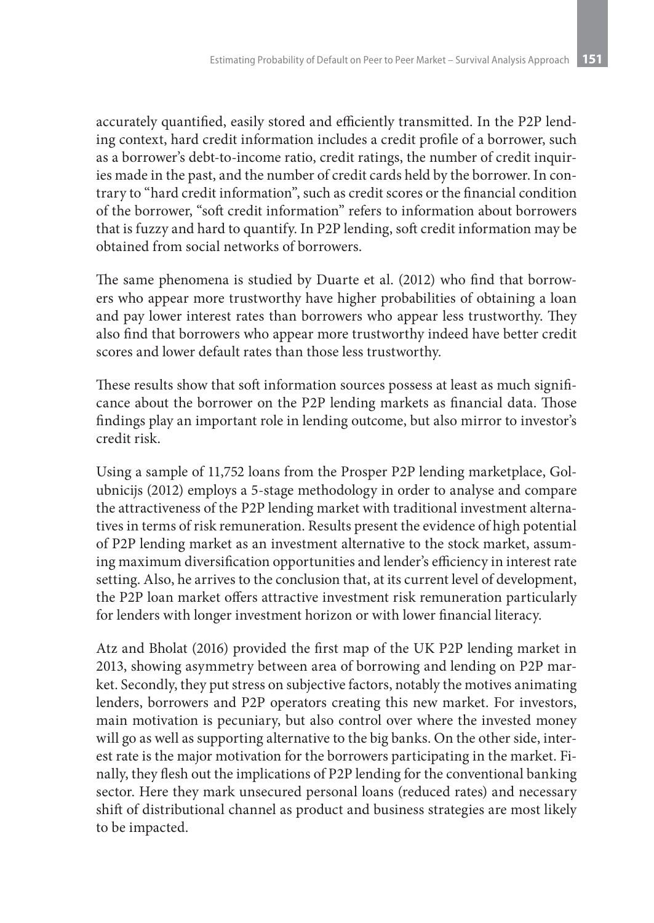accurately quantified, easily stored and efficiently transmitted. In the P2P lending context, hard credit information includes a credit profile of a borrower, such as a borrower's debt-to-income ratio, credit ratings, the number of credit inquiries made in the past, and the number of credit cards held by the borrower. In contrary to "hard credit information", such as credit scores or the financial condition of the borrower, "soft credit information" refers to information about borrowers that is fuzzy and hard to quantify. In P2P lending, soft credit information may be obtained from social networks of borrowers.

The same phenomena is studied by Duarte et al. (2012) who find that borrowers who appear more trustworthy have higher probabilities of obtaining a loan and pay lower interest rates than borrowers who appear less trustworthy. They also find that borrowers who appear more trustworthy indeed have better credit scores and lower default rates than those less trustworthy.

These results show that soft information sources possess at least as much significance about the borrower on the P2P lending markets as financial data. Those findings play an important role in lending outcome, but also mirror to investor's credit risk.

Using a sample of 11,752 loans from the Prosper P2P lending marketplace, Golubnicijs (2012) employs a 5-stage methodology in order to analyse and compare the attractiveness of the P2P lending market with traditional investment alternatives in terms of risk remuneration. Results present the evidence of high potential of P2P lending market as an investment alternative to the stock market, assuming maximum diversification opportunities and lender's efficiency in interest rate setting. Also, he arrives to the conclusion that, at its current level of development, the P2P loan market offers attractive investment risk remuneration particularly for lenders with longer investment horizon or with lower financial literacy.

Atz and Bholat (2016) provided the first map of the UK P2P lending market in 2013, showing asymmetry between area of borrowing and lending on P2P market. Secondly, they put stress on subjective factors, notably the motives animating lenders, borrowers and P2P operators creating this new market. For investors, main motivation is pecuniary, but also control over where the invested money will go as well as supporting alternative to the big banks. On the other side, interest rate is the major motivation for the borrowers participating in the market. Finally, they flesh out the implications of P2P lending for the conventional banking sector. Here they mark unsecured personal loans (reduced rates) and necessary shift of distributional channel as product and business strategies are most likely to be impacted.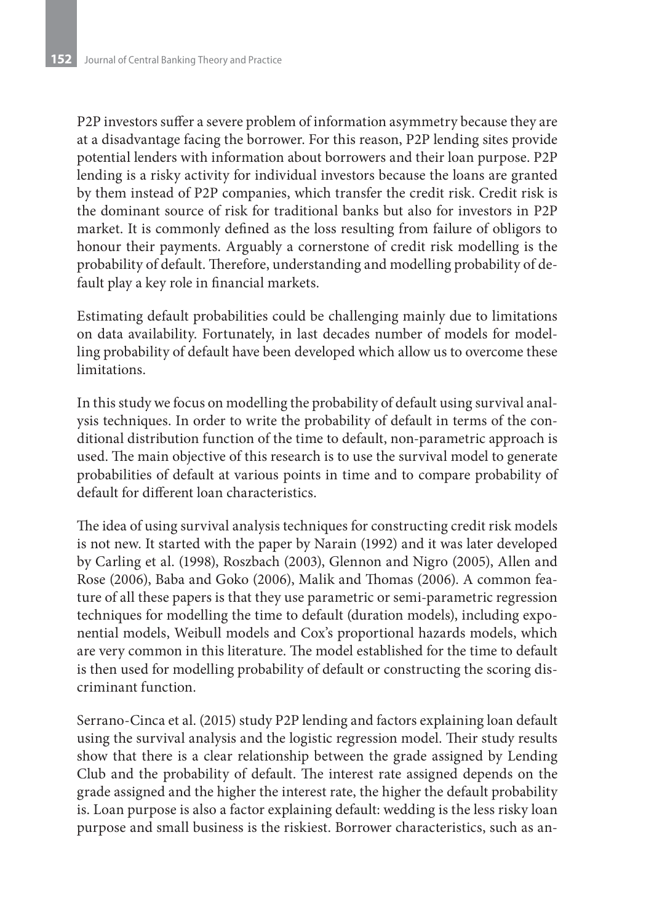P2P investors suffer a severe problem of information asymmetry because they are at a disadvantage facing the borrower. For this reason, P2P lending sites provide potential lenders with information about borrowers and their loan purpose. P2P lending is a risky activity for individual investors because the loans are granted by them instead of P2P companies, which transfer the credit risk. Credit risk is the dominant source of risk for traditional banks but also for investors in P2P market. It is commonly defined as the loss resulting from failure of obligors to honour their payments. Arguably a cornerstone of credit risk modelling is the probability of default. Therefore, understanding and modelling probability of default play a key role in financial markets.

Estimating default probabilities could be challenging mainly due to limitations on data availability. Fortunately, in last decades number of models for modelling probability of default have been developed which allow us to overcome these limitations.

In this study we focus on modelling the probability of default using survival analysis techniques. In order to write the probability of default in terms of the conditional distribution function of the time to default, non-parametric approach is used. The main objective of this research is to use the survival model to generate probabilities of default at various points in time and to compare probability of default for different loan characteristics.

The idea of using survival analysis techniques for constructing credit risk models is not new. It started with the paper by Narain (1992) and it was later developed by Carling et al. (1998), Roszbach (2003), Glennon and Nigro (2005), Allen and Rose (2006), Baba and Goko (2006), Malik and Thomas (2006). A common feature of all these papers is that they use parametric or semi-parametric regression techniques for modelling the time to default (duration models), including exponential models, Weibull models and Cox's proportional hazards models, which are very common in this literature. The model established for the time to default is then used for modelling probability of default or constructing the scoring discriminant function.

Serrano-Cinca et al. (2015) study P2P lending and factors explaining loan default using the survival analysis and the logistic regression model. Their study results show that there is a clear relationship between the grade assigned by Lending Club and the probability of default. The interest rate assigned depends on the grade assigned and the higher the interest rate, the higher the default probability is. Loan purpose is also a factor explaining default: wedding is the less risky loan purpose and small business is the riskiest. Borrower characteristics, such as an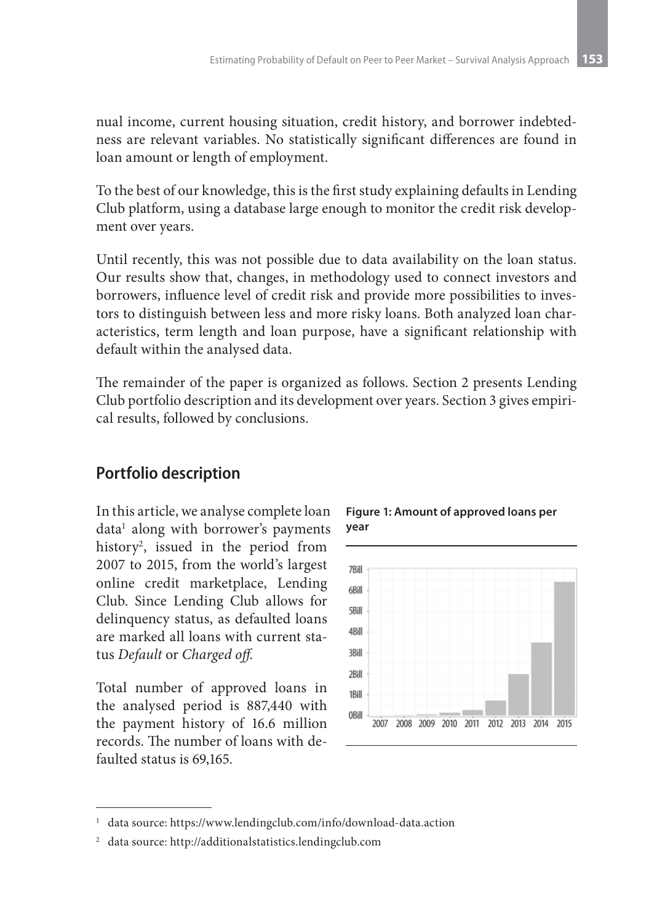nual income, current housing situation, credit history, and borrower indebtedness are relevant variables. No statistically significant differences are found in loan amount or length of employment.

To the best of our knowledge, this is the first study explaining defaults in Lending Club platform, using a database large enough to monitor the credit risk development over years.

Until recently, this was not possible due to data availability on the loan status. Our results show that, changes, in methodology used to connect investors and borrowers, influence level of credit risk and provide more possibilities to investors to distinguish between less and more risky loans. Both analyzed loan characteristics, term length and loan purpose, have a significant relationship with default within the analysed data.

The remainder of the paper is organized as follows. Section 2 presents Lending Club portfolio description and its development over years. Section 3 gives empirical results, followed by conclusions.

# **Portfolio description**

In this article, we analyse complete loan data<sup>1</sup> along with borrower's payments history<sup>2</sup>, issued in the period from 2007 to 2015, from the world's largest online credit marketplace, Lending Club. Since Lending Club allows for delinquency status, as defaulted loans are marked all loans with current status *Default* or *Charged off*.

Total number of approved loans in the analysed period is 887,440 with the payment history of 16.6 million records. The number of loans with defaulted status is 69,165.



**Figure 1: Amount of approved loans per year**

data source: https://www.lendingclub.com/info/download-data.action

<sup>2</sup> data source: http://additionalstatistics.lendingclub.com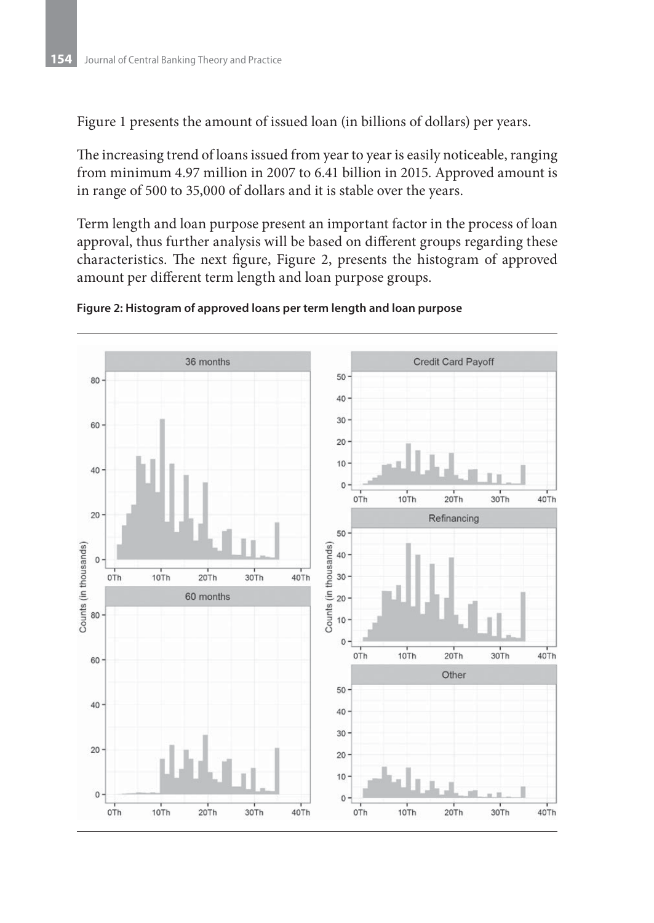Figure 1 presents the amount of issued loan (in billions of dollars) per years.

The increasing trend of loans issued from year to year is easily noticeable, ranging from minimum 4.97 million in 2007 to 6.41 billion in 2015. Approved amount is in range of 500 to 35,000 of dollars and it is stable over the years.

Term length and loan purpose present an important factor in the process of loan approval, thus further analysis will be based on different groups regarding these characteristics. The next figure, Figure 2, presents the histogram of approved amount per different term length and loan purpose groups.



#### **Figure 2: Histogram of approved loans per term length and loan purpose**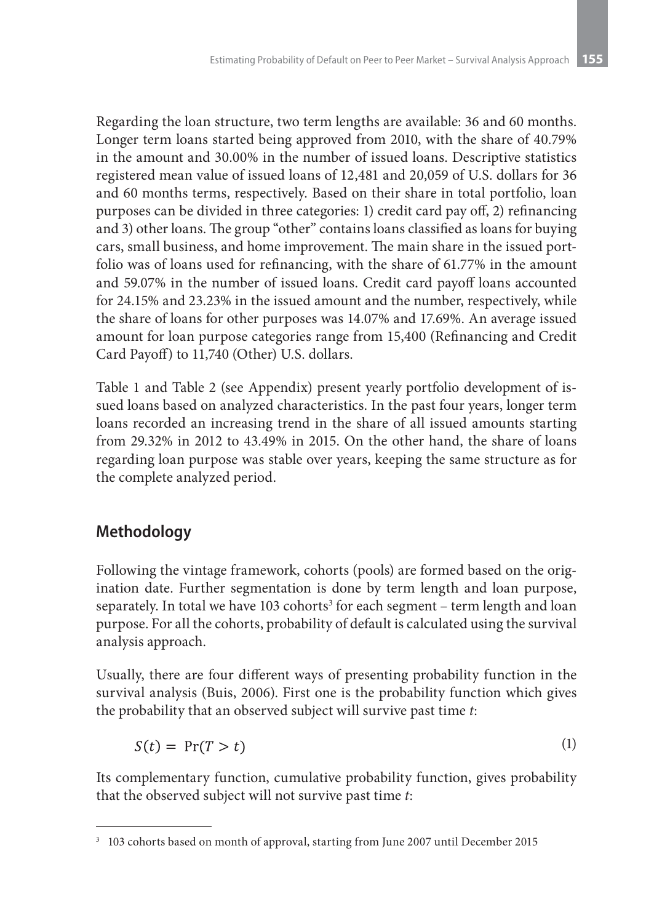Regarding the loan structure, two term lengths are available: 36 and 60 months. Longer term loans started being approved from 2010, with the share of 40.79% in the amount and 30.00% in the number of issued loans. Descriptive statistics registered mean value of issued loans of 12,481 and 20,059 of U.S. dollars for 36 and 60 months terms, respectively. Based on their share in total portfolio, loan purposes can be divided in three categories: 1) credit card pay off, 2) refinancing and 3) other loans. The group "other" contains loans classified as loans for buying cars, small business, and home improvement. The main share in the issued portfolio was of loans used for refinancing, with the share of 61.77% in the amount and 59.07% in the number of issued loans. Credit card payoff loans accounted for 24.15% and 23.23% in the issued amount and the number, respectively, while the share of loans for other purposes was 14.07% and 17.69%. An average issued amount for loan purpose categories range from 15,400 (Refinancing and Credit Card Payoff) to 11,740 (Other) U.S. dollars.

Table 1 and Table 2 (see Appendix) present yearly portfolio development of issued loans based on analyzed characteristics. In the past four years, longer term loans recorded an increasing trend in the share of all issued amounts starting from 29.32% in 2012 to 43.49% in 2015. On the other hand, the share of loans regarding loan purpose was stable over years, keeping the same structure as for the complete analyzed period.

# **Methodology**

Following the vintage framework, cohorts (pools) are formed based on the origination date. Further segmentation is done by term length and loan purpose, separately. In total we have 103 cohorts<sup>3</sup> for each segment – term length and loan purpose. For all the cohorts, probability of default is calculated using the survival analysis approach.

Usually, there are four different ways of presenting probability function in the survival analysis (Buis, 2006). First one is the probability function which gives the probability that an observed subject will survive past time *t*:

$$
S(t) = \Pr(T > t) \tag{1}
$$

Its complementary function, cumulative probability function, gives probability that the observed subject will not survive past time *t*:

<sup>&</sup>lt;sup>3</sup> 103 cohorts based on month of approval, starting from June 2007 until December 2015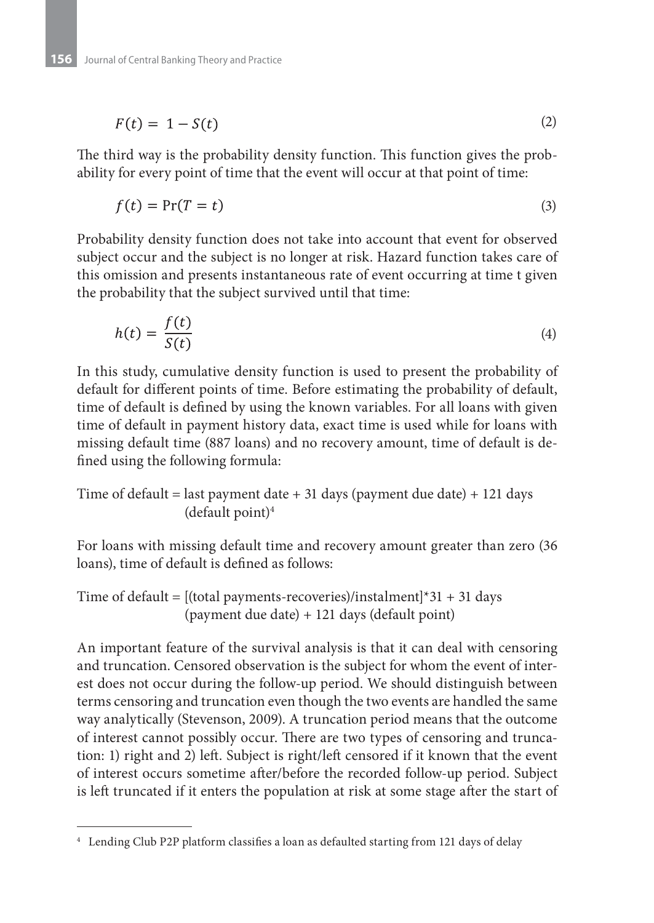$$
F(t) = 1 - S(t) \tag{2}
$$

The third way is the probability density function. This function gives the probability for every point of time that the event will occur at that point of time:

$$
f(t) = \Pr(T = t) \tag{3}
$$

Probability density function does not take into account that event for observed subject occur and the subject is no longer at risk. Hazard function takes care of this omission and presents instantaneous rate of event occurring at time t given the probability that the subject survived until that time:

$$
h(t) = \frac{f(t)}{S(t)}\tag{4}
$$

In this study, cumulative density function is used to present the probability of default for different points of time. Before estimating the probability of default, time of default is defined by using the known variables. For all loans with given time of default in payment history data, exact time is used while for loans with missing default time (887 loans) and no recovery amount, time of default is defined using the following formula:

Time of default = last payment date  $+31$  days (payment due date)  $+121$  days (default point) $4$ 

For loans with missing default time and recovery amount greater than zero (36 loans), time of default is defined as follows:

Time of default =  $[(total payments-recovering)/instant]$ <sup>+</sup>31 + 31 days (payment due date) + 121 days (default point)

An important feature of the survival analysis is that it can deal with censoring and truncation. Censored observation is the subject for whom the event of interest does not occur during the follow-up period. We should distinguish between terms censoring and truncation even though the two events are handled the same way analytically (Stevenson, 2009). A truncation period means that the outcome of interest cannot possibly occur. There are two types of censoring and truncation: 1) right and 2) left. Subject is right/left censored if it known that the event of interest occurs sometime after/before the recorded follow-up period. Subject is left truncated if it enters the population at risk at some stage after the start of

<sup>4</sup> Lending Club P2P platform classifies a loan as defaulted starting from 121 days of delay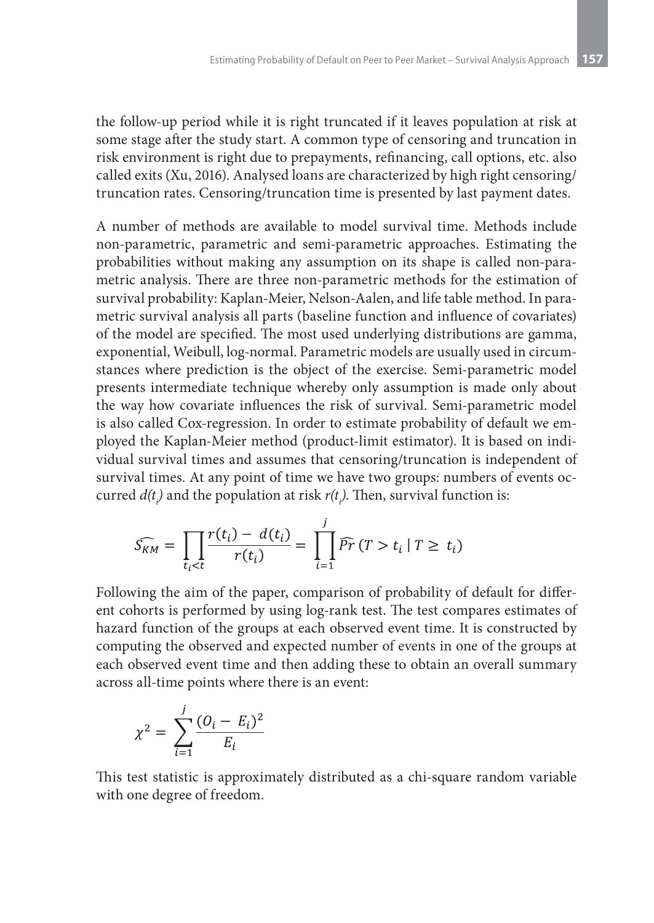the follow-up period while it is right truncated if it leaves population at risk at some stage after the study start. A common type of censoring and truncation in risk environment is right due to prepayments, refinancing, call options, etc. also called exits (Xu, 2016). Analysed loans are characterized by high right censoring/ truncation rates. Censoring/truncation time is presented by last payment dates.

A number of methods are available to model survival time. Methods include non-parametric, parametric and semi-parametric approaches. Estimating the probabilities without making any assumption on its shape is called non-parametric analysis. There are three non-parametric methods for the estimation of survival probability: Kaplan-Meier, Nelson-Aalen, and life table method. In parametric survival analysis all parts (baseline function and influence of covariates) of the model are specified. The most used underlying distributions are gamma, exponential, Weibull, log-normal. Parametric models are usually used in circumstances where prediction is the object of the exercise. Semi-parametric model presents intermediate technique whereby only assumption is made only about the way how covariate influences the risk of survival. Semi-parametric model is also called Cox-regression. In order to estimate probability of default we employed the Kaplan-Meier method (product-limit estimator). It is based on individual survival times and assumes that censoring/truncation is independent of survival times. At any point of time we have two groups: numbers of events occurred  $d(t_i)$  and the population at risk  $r(t_i)$ . Then, survival function is:

$$
\widehat{S_{KM}} = \prod_{t_i < t} \frac{r(t_i) - d(t_i)}{r(t_i)} = \prod_{i=1}^J \widehat{Pr}(T > t_i \mid T \geq t_i)
$$

Following the aim of the paper, comparison of probability of default for different cohorts is performed by using log-rank test. The test compares estimates of hazard function of the groups at each observed event time. It is constructed by computing the observed and expected number of events in one of the groups at each observed event time and then adding these to obtain an overall summary across all-time points where there is an event:

$$
\chi^{2} = \sum_{i=1}^{j} \frac{(O_{i} - E_{i})^{2}}{E_{i}}
$$

This test statistic is approximately distributed as a chi-square random variable with one degree of freedom.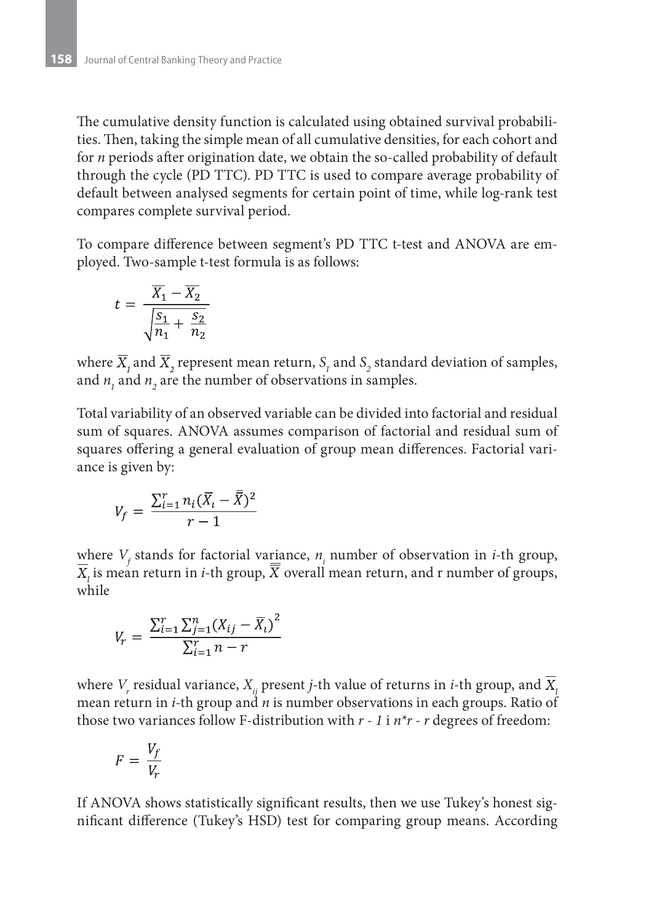The cumulative density function is calculated using obtained survival probabilities. Then, taking the simple mean of all cumulative densities, for each cohort and for *n* periods after origination date, we obtain the so-called probability of default through the cycle (PD TTC). PD TTC is used to compare average probability of default between analysed segments for certain point of time, while log-rank test compares complete survival period.

To compare difference between segment's PD TTC t-test and ANOVA are employed. Two-sample t-test formula is as follows:

$$
t = \frac{\overline{X_1} - \overline{X_2}}{\sqrt{\frac{s_1}{n_1} + \frac{s_2}{n_2}}}
$$

where  $X_i$  and  $X_j$  represent mean return,  $S_i$  and  $S_j$  standard deviation of samples, and  $n_1$  and  $n_2$  are the number of observations in samples.

Total variability of an observed variable can be divided into factorial and residual sum of squares. ANOVA assumes comparison of factorial and residual sum of squares offering a general evaluation of group mean differences. Factorial variance is given by:

$$
V_f = \frac{\sum_{i=1}^r n_i (\overline{X}_i - \overline{\overline{X}})^2}{r-1}
$$

where *V<sub>f</sub>* stands for factorial variance,  $n_i$  number of observation in *i*-th group,  $\overline{X}$ , is mean return in *i*-th group,  $\overline{\overline{X}}$  overall mean return, and r number of groups, while

$$
V_r = \frac{\sum_{i=1}^{r} \sum_{j=1}^{n} (X_{ij} - \overline{X}_i)^2}{\sum_{i=1}^{r} n - r}
$$

where  $V_{_r}$  residual variance,  $X_{_{ij}}$  present *j*-th value of returns in *i*-th group, and mean return in *i*-th group and *n* is number observations in each groups. Ratio of those two variances follow F-distribution with *r - 1* i *n\*r - r* degrees of freedom:

$$
F = \frac{V_f}{V_r}
$$

If ANOVA shows statistically significant results, then we use Tukey's honest significant difference (Tukey's HSD) test for comparing group means. According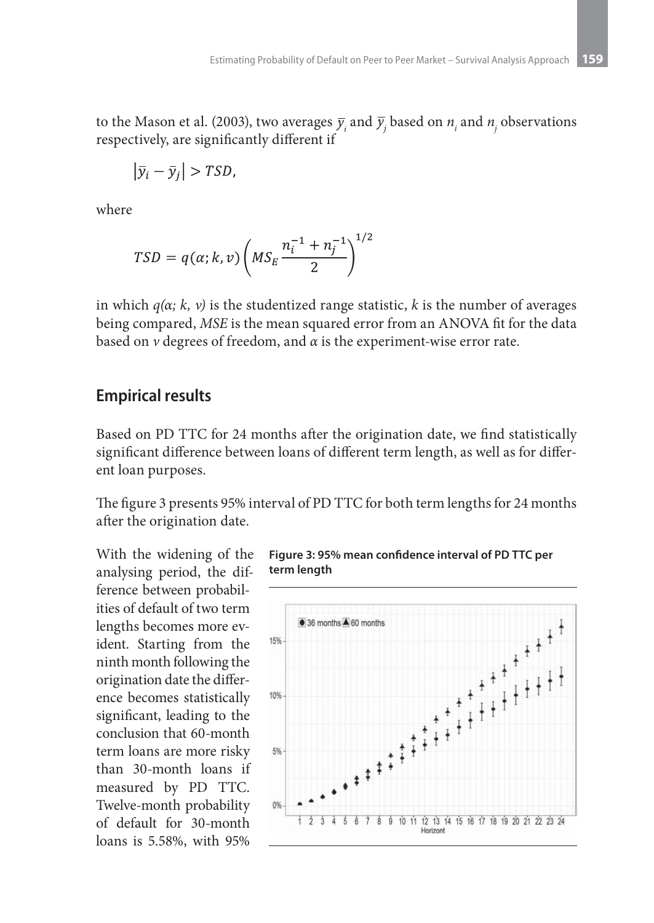to the Mason et al. (2003), two averages  $\overline{y}_i$  and  $\overline{y}_j$  based on  $n_i$  and  $n_j$  observations respectively, are significantly different if

$$
\left|\overline{y}_i - \overline{y}_j\right| > TSD,
$$

where

$$
TSD = q(\alpha; k, v) \left( MS_E \frac{n_i^{-1} + n_j^{-1}}{2} \right)^{1/2}
$$

in which  $q(\alpha; k, v)$  is the studentized range statistic, k is the number of averages being compared, *MSE* is the mean squared error from an ANOVA fit for the data based on *ν* degrees of freedom, and *α* is the experiment-wise error rate.

### **Empirical results**

Based on PD TTC for 24 months after the origination date, we find statistically significant difference between loans of different term length, as well as for different loan purposes.

The figure 3 presents 95% interval of PD TTC for both term lengths for 24 months after the origination date.

With the widening of the analysing period, the difference between probabilities of default of two term lengths becomes more evident. Starting from the ninth month following the origination date the difference becomes statistically significant, leading to the conclusion that 60-month term loans are more risky than 30-month loans if measured by PD TTC. Twelve-month probability of default for 30-month loans is 5.58%, with 95%



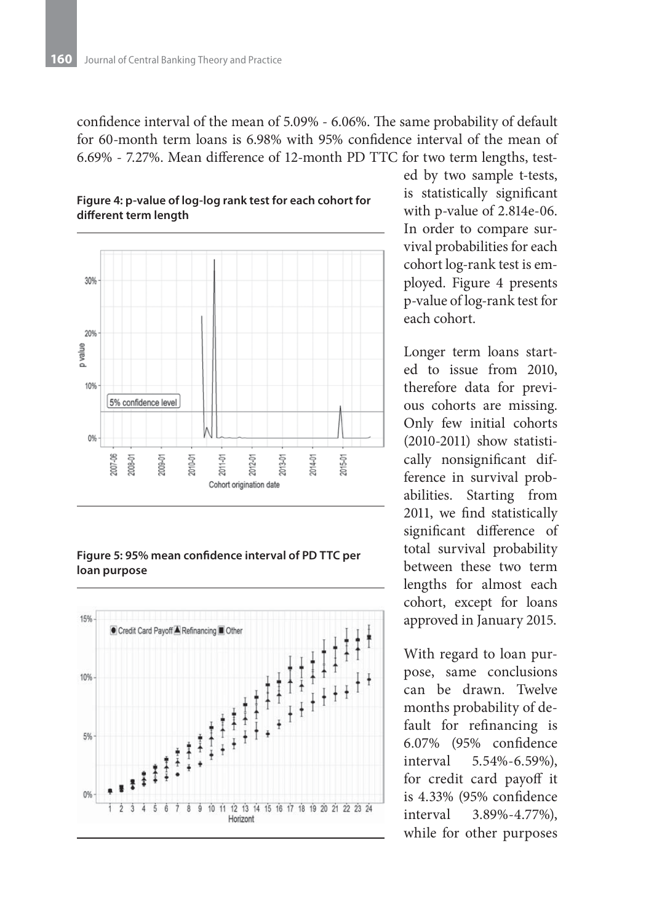confidence interval of the mean of 5.09% - 6.06%. The same probability of default for 60-month term loans is 6.98% with 95% confidence interval of the mean of 6.69% - 7.27%. Mean difference of 12-month PD TTC for two term lengths, test-



#### **Figure 4: p-value of log-log rank test for each cohort for different term length**

**Figure 5: 95% mean confidence interval of PD TTC per loan purpose**



ed by two sample t-tests, is statistically significant with p-value of 2.814e-06. In order to compare survival probabilities for each cohort log-rank test is employed. Figure 4 presents p-value of log-rank test for each cohort.

Longer term loans started to issue from 2010, therefore data for previous cohorts are missing. Only few initial cohorts (2010-2011) show statistically nonsignificant difference in survival probabilities. Starting from 2011, we find statistically significant difference of total survival probability between these two term lengths for almost each cohort, except for loans approved in January 2015.

With regard to loan purpose, same conclusions can be drawn. Twelve months probability of default for refinancing is 6.07% (95% confidence interval 5.54%-6.59%), for credit card payoff it is 4.33% (95% confidence interval 3.89%-4.77%), while for other purposes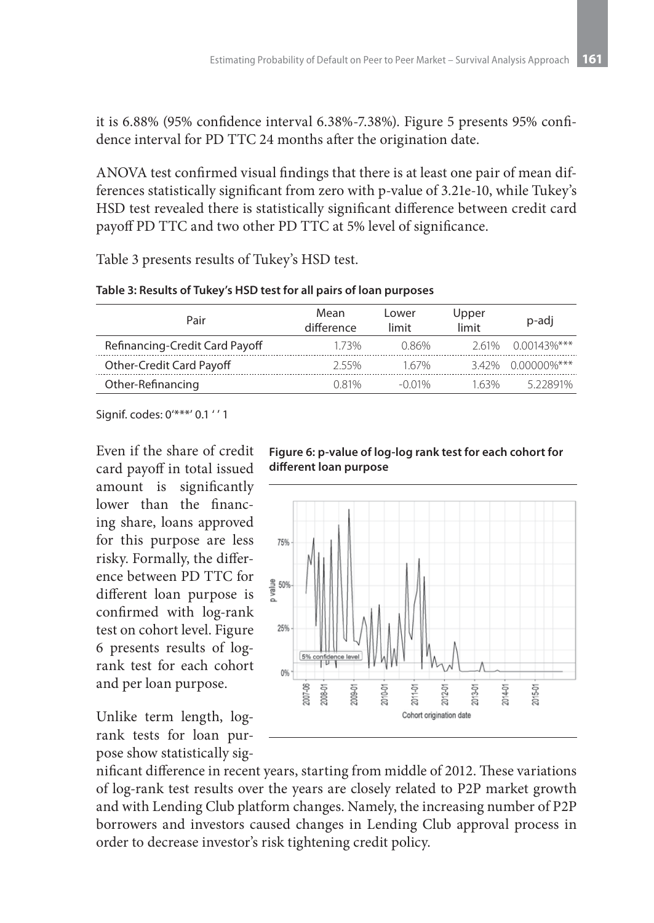it is 6.88% (95% confidence interval 6.38%-7.38%). Figure 5 presents 95% confidence interval for PD TTC 24 months after the origination date.

ANOVA test confirmed visual findings that there is at least one pair of mean differences statistically significant from zero with p-value of 3.21e-10, while Tukey's HSD test revealed there is statistically significant difference between credit card payoff PD TTC and two other PD TTC at 5% level of significance.

Other-Refinancing 0.81% -0.01% 1.63% 5.22891%

Table 3 presents results of Tukey's HSD test.

| Pair                           | Mean<br>difference | Lower<br>limit | Upper<br>limit | p-adj                |  |
|--------------------------------|--------------------|----------------|----------------|----------------------|--|
| Refinancing-Credit Card Payoff | 173%               | 0.86%          |                | 2.61% 0.00143%***    |  |
| Other-Credit Card Payoff       | 255%               | 67%            |                | $3.42\%$ 0.00000%*** |  |

#### **Table 3: Results of Tukey's HSD test for all pairs of loan purposes**

Signif. codes: 0'\*\*\*' 0.1 ' ' 1

Even if the share of credit card payoff in total issued amount is significantly lower than the financing share, loans approved for this purpose are less risky. Formally, the difference between PD TTC for different loan purpose is confirmed with log-rank test on cohort level. Figure 6 presents results of logrank test for each cohort and per loan purpose.

Unlike term length, logrank tests for loan purpose show statistically sig-

#### **Figure 6: p-value of log-log rank test for each cohort for different loan purpose**



nificant difference in recent years, starting from middle of 2012. These variations of log-rank test results over the years are closely related to P2P market growth and with Lending Club platform changes. Namely, the increasing number of P2P borrowers and investors caused changes in Lending Club approval process in order to decrease investor's risk tightening credit policy.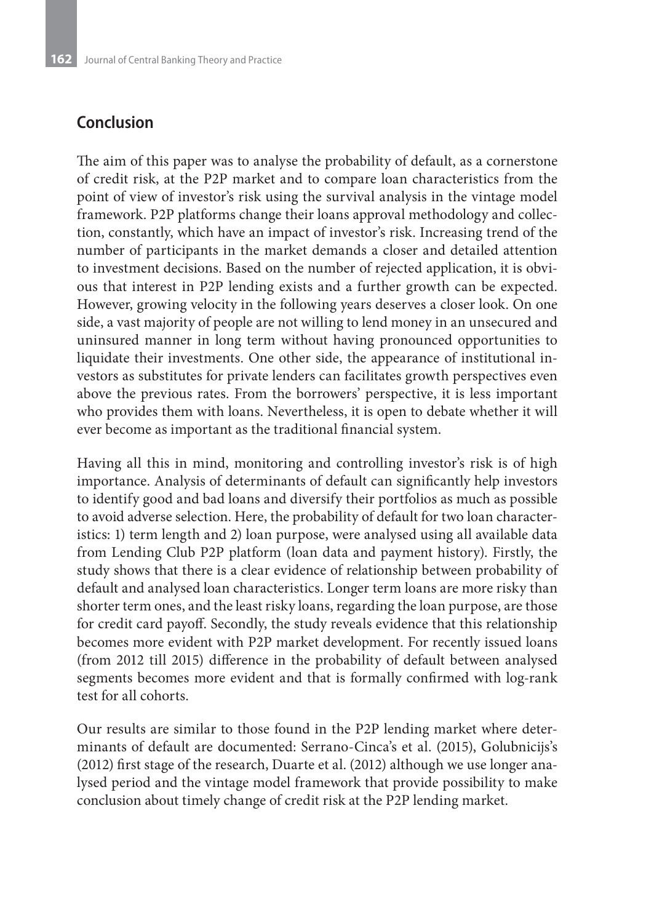## **Conclusion**

The aim of this paper was to analyse the probability of default, as a cornerstone of credit risk, at the P2P market and to compare loan characteristics from the point of view of investor's risk using the survival analysis in the vintage model framework. P2P platforms change their loans approval methodology and collection, constantly, which have an impact of investor's risk. Increasing trend of the number of participants in the market demands a closer and detailed attention to investment decisions. Based on the number of rejected application, it is obvious that interest in P2P lending exists and a further growth can be expected. However, growing velocity in the following years deserves a closer look. On one side, a vast majority of people are not willing to lend money in an unsecured and uninsured manner in long term without having pronounced opportunities to liquidate their investments. One other side, the appearance of institutional investors as substitutes for private lenders can facilitates growth perspectives even above the previous rates. From the borrowers' perspective, it is less important who provides them with loans. Nevertheless, it is open to debate whether it will ever become as important as the traditional financial system.

Having all this in mind, monitoring and controlling investor's risk is of high importance. Analysis of determinants of default can significantly help investors to identify good and bad loans and diversify their portfolios as much as possible to avoid adverse selection. Here, the probability of default for two loan characteristics: 1) term length and 2) loan purpose, were analysed using all available data from Lending Club P2P platform (loan data and payment history). Firstly, the study shows that there is a clear evidence of relationship between probability of default and analysed loan characteristics. Longer term loans are more risky than shorter term ones, and the least risky loans, regarding the loan purpose, are those for credit card payoff. Secondly, the study reveals evidence that this relationship becomes more evident with P2P market development. For recently issued loans (from 2012 till 2015) difference in the probability of default between analysed segments becomes more evident and that is formally confirmed with log-rank test for all cohorts.

Our results are similar to those found in the P2P lending market where determinants of default are documented: Serrano-Cinca's et al. (2015), Golubnicijs's (2012) first stage of the research, Duarte et al. (2012) although we use longer analysed period and the vintage model framework that provide possibility to make conclusion about timely change of credit risk at the P2P lending market.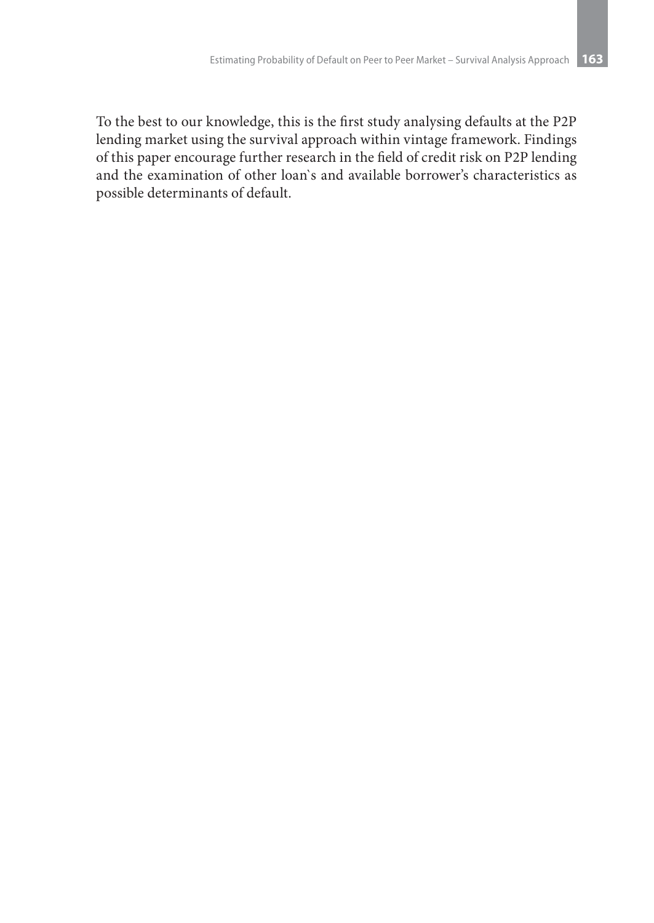To the best to our knowledge, this is the first study analysing defaults at the P2P lending market using the survival approach within vintage framework. Findings of this paper encourage further research in the field of credit risk on P2P lending and the examination of other loan`s and available borrower's characteristics as possible determinants of default.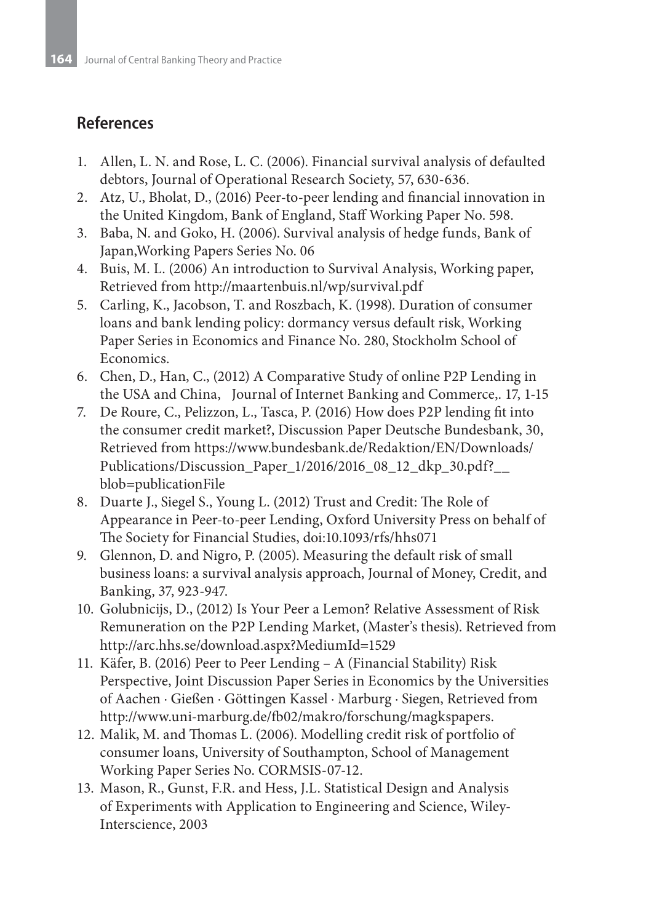# **References**

- 1. Allen, L. N. and Rose, L. C. (2006). Financial survival analysis of defaulted debtors, Journal of Operational Research Society, 57, 630-636.
- 2. Atz, U., Bholat, D., (2016) Peer-to-peer lending and financial innovation in the United Kingdom, Bank of England, Staff Working Paper No. 598.
- 3. Baba, N. and Goko, H. (2006). Survival analysis of hedge funds, Bank of Japan,Working Papers Series No. 06
- 4. Buis, M. L. (2006) An introduction to Survival Analysis, Working paper, Retrieved from http://maartenbuis.nl/wp/survival.pdf
- 5. Carling, K., Jacobson, T. and Roszbach, K. (1998). Duration of consumer loans and bank lending policy: dormancy versus default risk, Working Paper Series in Economics and Finance No. 280, Stockholm School of Economics.
- 6. Chen, D., Han, C., (2012) A Comparative Study of online P2P Lending in the USA and China, Journal of Internet Banking and Commerce,. 17, 1-15
- 7. De Roure, C., Pelizzon, L., Tasca, P. (2016) How does P2P lending fit into the consumer credit market?, Discussion Paper Deutsche Bundesbank, 30, Retrieved from https://www.bundesbank.de/Redaktion/EN/Downloads/ Publications/Discussion\_Paper\_1/2016/2016\_08\_12\_dkp\_30.pdf?\_\_ blob=publicationFile
- 8. Duarte J., Siegel S., Young L. (2012) Trust and Credit: The Role of Appearance in Peer-to-peer Lending, Oxford University Press on behalf of The Society for Financial Studies, doi:10.1093/rfs/hhs071
- 9. Glennon, D. and Nigro, P. (2005). Measuring the default risk of small business loans: a survival analysis approach, Journal of Money, Credit, and Banking, 37, 923-947.
- 10. Golubnicijs, D., (2012) Is Your Peer a Lemon? Relative Assessment of Risk Remuneration on the P2P Lending Market, (Master's thesis). Retrieved from http://arc.hhs.se/download.aspx?MediumId=1529
- 11. Käfer, B. (2016) Peer to Peer Lending A (Financial Stability) Risk Perspective, Joint Discussion Paper Series in Economics by the Universities of Aachen · Gießen · Göttingen Kassel · Marburg · Siegen, Retrieved from http://www.uni-marburg.de/fb02/makro/forschung/magkspapers.
- 12. Malik, M. and Thomas L. (2006). Modelling credit risk of portfolio of consumer loans, University of Southampton, School of Management Working Paper Series No. CORMSIS-07-12.
- 13. Mason, R., Gunst, F.R. and Hess, J.L. Statistical Design and Analysis of Experiments with Application to Engineering and Science, Wiley-Interscience, 2003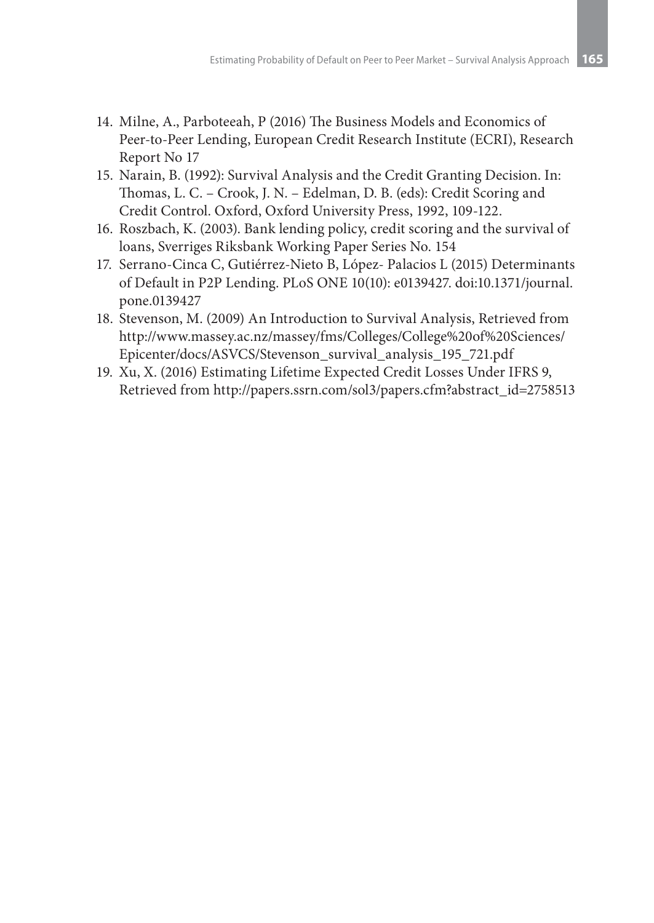- 14. Milne, A., Parboteeah, P (2016) The Business Models and Economics of Peer-to-Peer Lending, European Credit Research Institute (ECRI), Research Report No 17
- 15. Narain, B. (1992): Survival Analysis and the Credit Granting Decision. In: Thomas, L. C. – Crook, J. N. – Edelman, D. B. (eds): Credit Scoring and Credit Control. Oxford, Oxford University Press, 1992, 109-122.
- 16. Roszbach, K. (2003). Bank lending policy, credit scoring and the survival of loans, Sverriges Riksbank Working Paper Series No. 154
- 17. Serrano-Cinca C, Gutiérrez-Nieto B, López- Palacios L (2015) Determinants of Default in P2P Lending. PLoS ONE 10(10): e0139427. doi:10.1371/journal. pone.0139427
- 18. Stevenson, M. (2009) An Introduction to Survival Analysis, Retrieved from http://www.massey.ac.nz/massey/fms/Colleges/College%20of%20Sciences/ Epicenter/docs/ASVCS/Stevenson\_survival\_analysis\_195\_721.pdf
- 19. Xu, X. (2016) Estimating Lifetime Expected Credit Losses Under IFRS 9, Retrieved from http://papers.ssrn.com/sol3/papers.cfm?abstract\_id=2758513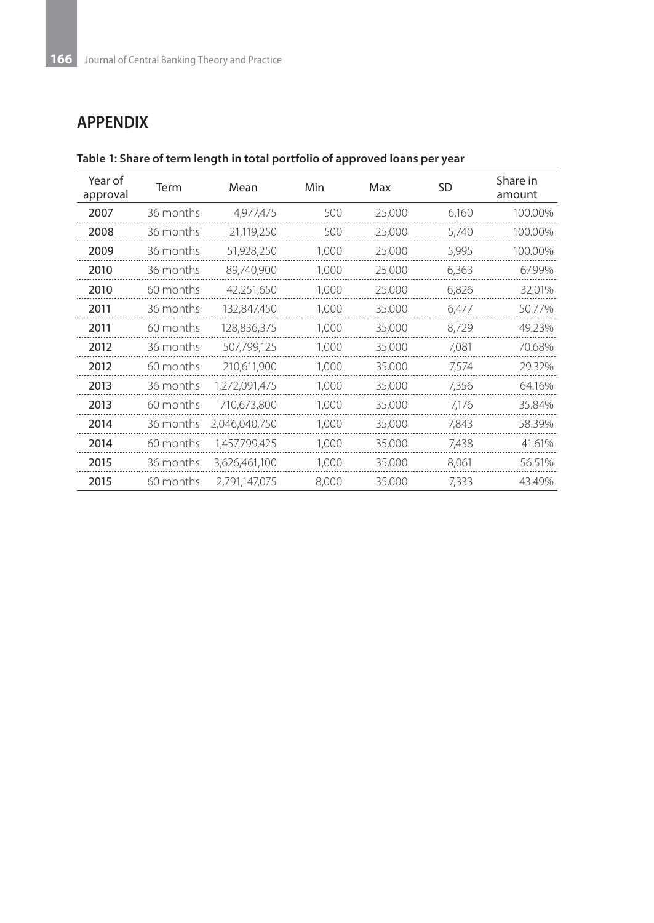# **APPENDIX**

| Year of<br>approval | Term      | Mean          | Min   | Max    | <b>SD</b> | Share in<br>amount |
|---------------------|-----------|---------------|-------|--------|-----------|--------------------|
| 2007                | 36 months | 4,977,475     | 500   | 25,000 | 6,160     | 100.00%            |
| 2008                | 36 months | 21,119,250    | 500   | 25,000 | 5,740     | 100.00%            |
| 2009                | 36 months | 51,928,250    | 1,000 | 25,000 | 5,995     | 100.00%            |
| 2010                | 36 months | 89,740,900    | 1,000 | 25,000 | 6,363     | 67.99%             |
| 2010                | 60 months | 42,251,650    | 1,000 | 25,000 | 6,826     | 32.01%             |
| 2011                | 36 months | 132,847,450   | 1,000 | 35,000 | 6,477     | 50.77%             |
| 2011                | 60 months | 128,836,375   | 1,000 | 35,000 | 8,729     | 49.23%             |
| 2012                | 36 months | 507,799,125   | 1,000 | 35,000 | 7,081     | 70.68%             |
| 2012                | 60 months | 210,611,900   | 1,000 | 35,000 | 7,574     | 29.32%             |
| 2013                | 36 months | 1,272,091,475 | 1,000 | 35,000 | 7,356     | 64.16%             |
| 2013                | 60 months | 710,673,800   | 1,000 | 35,000 | 7,176     | 35.84%             |
| 2014                | 36 months | 2,046,040,750 | 1,000 | 35,000 | 7,843     | 58.39%             |
| 2014                | 60 months | 1,457,799,425 | 1.000 | 35,000 | 7.438     | 41.61%             |
| 2015                | 36 months | 3,626,461,100 | 1,000 | 35,000 | 8,061     | 56.51%             |
| 2015                | 60 months | 2,791,147,075 | 8,000 | 35,000 | 7.333     | 43.49%             |

### **Table 1: Share of term length in total portfolio of approved loans per year**